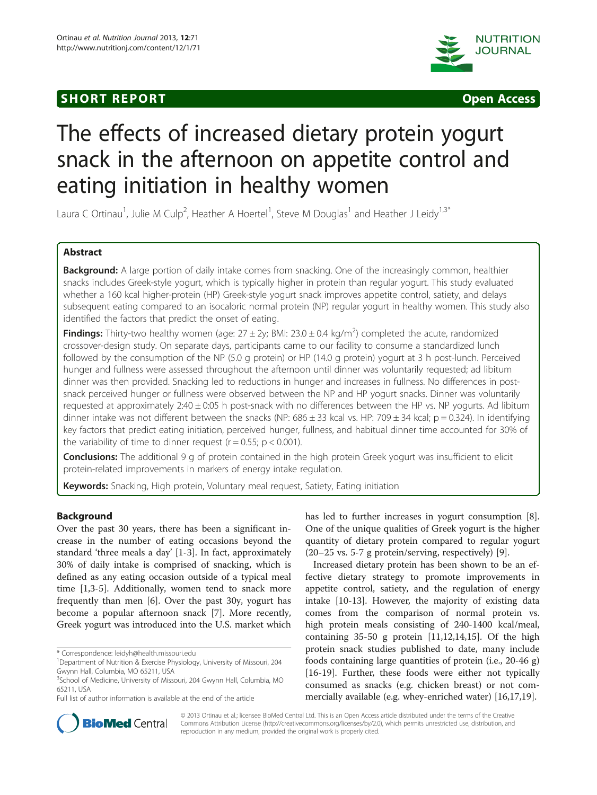# **SHORT REPORT SHORT CONSUMING A SHORT REPORT**





# The effects of increased dietary protein yogurt snack in the afternoon on appetite control and eating initiation in healthy women

Laura C Ortinau<sup>1</sup>, Julie M Culp<sup>2</sup>, Heather A Hoertel<sup>1</sup>, Steve M Douglas<sup>1</sup> and Heather J Leidy<sup>1,3\*</sup>

# Abstract

Background: A large portion of daily intake comes from snacking. One of the increasingly common, healthier snacks includes Greek-style yogurt, which is typically higher in protein than regular yogurt. This study evaluated whether a 160 kcal higher-protein (HP) Greek-style yogurt snack improves appetite control, satiety, and delays subsequent eating compared to an isocaloric normal protein (NP) regular yogurt in healthy women. This study also identified the factors that predict the onset of eating.

Findings: Thirty-two healthy women (age: 27 ± 2y; BMI: 23.0 ± 0.4 kg/m<sup>2</sup>) completed the acute, randomized crossover-design study. On separate days, participants came to our facility to consume a standardized lunch followed by the consumption of the NP (5.0 g protein) or HP (14.0 g protein) yogurt at 3 h post-lunch. Perceived hunger and fullness were assessed throughout the afternoon until dinner was voluntarily requested; ad libitum dinner was then provided. Snacking led to reductions in hunger and increases in fullness. No differences in postsnack perceived hunger or fullness were observed between the NP and HP yogurt snacks. Dinner was voluntarily requested at approximately 2:40 ± 0:05 h post-snack with no differences between the HP vs. NP yogurts. Ad libitum dinner intake was not different between the snacks (NP: 686  $\pm$  33 kcal vs. HP: 709  $\pm$  34 kcal; p = 0.324). In identifying key factors that predict eating initiation, perceived hunger, fullness, and habitual dinner time accounted for 30% of the variability of time to dinner request ( $r = 0.55$ ;  $p < 0.001$ ).

Conclusions: The additional 9 g of protein contained in the high protein Greek yogurt was insufficient to elicit protein-related improvements in markers of energy intake regulation.

Keywords: Snacking, High protein, Voluntary meal request, Satiety, Eating initiation

# Background

Over the past 30 years, there has been a significant increase in the number of eating occasions beyond the standard 'three meals a day' [\[1](#page-4-0)-[3\]](#page-4-0). In fact, approximately 30% of daily intake is comprised of snacking, which is defined as any eating occasion outside of a typical meal time [[1,3-5](#page-4-0)]. Additionally, women tend to snack more frequently than men [[6\]](#page-4-0). Over the past 30y, yogurt has become a popular afternoon snack [[7\]](#page-4-0). More recently, Greek yogurt was introduced into the U.S. market which

has led to further increases in yogurt consumption [\[8](#page-4-0)]. One of the unique qualities of Greek yogurt is the higher quantity of dietary protein compared to regular yogurt (20–25 vs. 5-7 g protein/serving, respectively) [\[9](#page-4-0)].

Increased dietary protein has been shown to be an effective dietary strategy to promote improvements in appetite control, satiety, and the regulation of energy intake [[10-13](#page-4-0)]. However, the majority of existing data comes from the comparison of normal protein vs. high protein meals consisting of 240-1400 kcal/meal, containing 35-50 g protein [\[11,12,14,15\]](#page-4-0). Of the high protein snack studies published to date, many include foods containing large quantities of protein (i.e., 20-46 g) [[16-19](#page-4-0)]. Further, these foods were either not typically consumed as snacks (e.g. chicken breast) or not commercially available (e.g. whey-enriched water) [[16](#page-4-0),[17](#page-4-0),[19](#page-4-0)].



© 2013 Ortinau et al.; licensee BioMed Central Ltd. This is an Open Access article distributed under the terms of the Creative Commons Attribution License [\(http://creativecommons.org/licenses/by/2.0\)](http://creativecommons.org/licenses/by/2.0), which permits unrestricted use, distribution, and reproduction in any medium, provided the original work is properly cited.

<sup>\*</sup> Correspondence: [leidyh@health.missouri.edu](mailto:leidyh@health.missouri.edu) <sup>1</sup>

<sup>&</sup>lt;sup>1</sup>Department of Nutrition & Exercise Physiology, University of Missouri, 204 Gwynn Hall, Columbia, MO 65211, USA

<sup>&</sup>lt;sup>3</sup>School of Medicine, University of Missouri, 204 Gwynn Hall, Columbia, MO 65211, USA

Full list of author information is available at the end of the article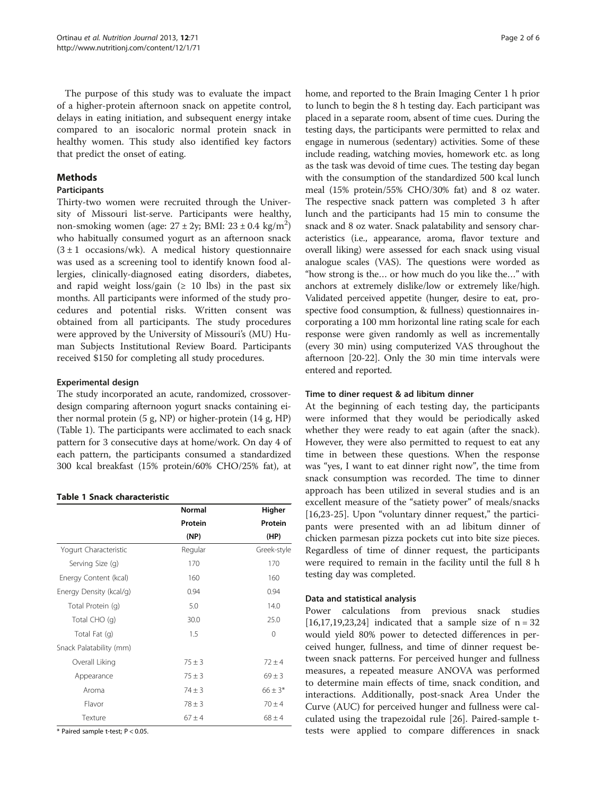The purpose of this study was to evaluate the impact of a higher-protein afternoon snack on appetite control, delays in eating initiation, and subsequent energy intake compared to an isocaloric normal protein snack in healthy women. This study also identified key factors that predict the onset of eating.

# **Methods**

# Participants

Thirty-two women were recruited through the University of Missouri list-serve. Participants were healthy, non-smoking women (age:  $27 \pm 2y$ ; BMI:  $23 \pm 0.4$  kg/m<sup>2</sup>) who habitually consumed yogurt as an afternoon snack  $(3 \pm 1)$  occasions/wk). A medical history questionnaire was used as a screening tool to identify known food allergies, clinically-diagnosed eating disorders, diabetes, and rapid weight loss/gain  $(≥ 10$  lbs) in the past six months. All participants were informed of the study procedures and potential risks. Written consent was obtained from all participants. The study procedures were approved by the University of Missouri's (MU) Human Subjects Institutional Review Board. Participants received \$150 for completing all study procedures.

# Experimental design

The study incorporated an acute, randomized, crossoverdesign comparing afternoon yogurt snacks containing either normal protein (5 g, NP) or higher-protein (14 g, HP) (Table 1). The participants were acclimated to each snack pattern for 3 consecutive days at home/work. On day 4 of each pattern, the participants consumed a standardized 300 kcal breakfast (15% protein/60% CHO/25% fat), at

#### Table 1 Snack characteristic

|                         | Normal<br>Protein<br>(NP) | Higher<br>Protein<br>(HP) |
|-------------------------|---------------------------|---------------------------|
|                         |                           |                           |
|                         |                           |                           |
| Yogurt Characteristic   | Regular                   | Greek-style               |
| Serving Size (g)        | 170                       | 170                       |
| Energy Content (kcal)   | 160                       | 160                       |
| Energy Density (kcal/g) | 0.94                      | 0.94                      |
| Total Protein (g)       | 5.0                       | 14.0                      |
| Total CHO (q)           | 30.0                      | 25.0                      |
| Total Fat (q)           | 1.5                       | $\Omega$                  |
| Snack Palatability (mm) |                           |                           |
| Overall Liking          | $75 \pm 3$                | $72 + 4$                  |
| Appearance              | $75 \pm 3$                | $69 \pm 3$                |
| Aroma                   | $74 \pm 3$                | $66 \pm 3*$               |
| Flavor                  | $78 \pm 3$                | $70 \pm 4$                |
| Texture                 | $67 + 4$                  | $68 \pm 4$                |

 $*$  Paired sample t-test;  $P < 0.05$ .

home, and reported to the Brain Imaging Center 1 h prior to lunch to begin the 8 h testing day. Each participant was placed in a separate room, absent of time cues. During the testing days, the participants were permitted to relax and engage in numerous (sedentary) activities. Some of these include reading, watching movies, homework etc. as long as the task was devoid of time cues. The testing day began with the consumption of the standardized 500 kcal lunch meal (15% protein/55% CHO/30% fat) and 8 oz water. The respective snack pattern was completed 3 h after lunch and the participants had 15 min to consume the snack and 8 oz water. Snack palatability and sensory characteristics (i.e., appearance, aroma, flavor texture and overall liking) were assessed for each snack using visual analogue scales (VAS). The questions were worded as "how strong is the… or how much do you like the…" with anchors at extremely dislike/low or extremely like/high. Validated perceived appetite (hunger, desire to eat, prospective food consumption, & fullness) questionnaires incorporating a 100 mm horizontal line rating scale for each response were given randomly as well as incrementally (every 30 min) using computerized VAS throughout the afternoon [\[20-22\]](#page-4-0). Only the 30 min time intervals were entered and reported.

# Time to diner request & ad libitum dinner

At the beginning of each testing day, the participants were informed that they would be periodically asked whether they were ready to eat again (after the snack). However, they were also permitted to request to eat any time in between these questions. When the response was "yes, I want to eat dinner right now", the time from snack consumption was recorded. The time to dinner approach has been utilized in several studies and is an excellent measure of the "satiety power" of meals/snacks [[16,](#page-4-0)[23-25](#page-5-0)]. Upon "voluntary dinner request," the participants were presented with an ad libitum dinner of chicken parmesan pizza pockets cut into bite size pieces. Regardless of time of dinner request, the participants were required to remain in the facility until the full 8 h testing day was completed.

#### Data and statistical analysis

Power calculations from previous snack studies  $[16,17,19,23,24]$  $[16,17,19,23,24]$  $[16,17,19,23,24]$  indicated that a sample size of  $n = 32$ would yield 80% power to detected differences in perceived hunger, fullness, and time of dinner request between snack patterns. For perceived hunger and fullness measures, a repeated measure ANOVA was performed to determine main effects of time, snack condition, and interactions. Additionally, post-snack Area Under the Curve (AUC) for perceived hunger and fullness were calculated using the trapezoidal rule [[26](#page-5-0)]. Paired-sample ttests were applied to compare differences in snack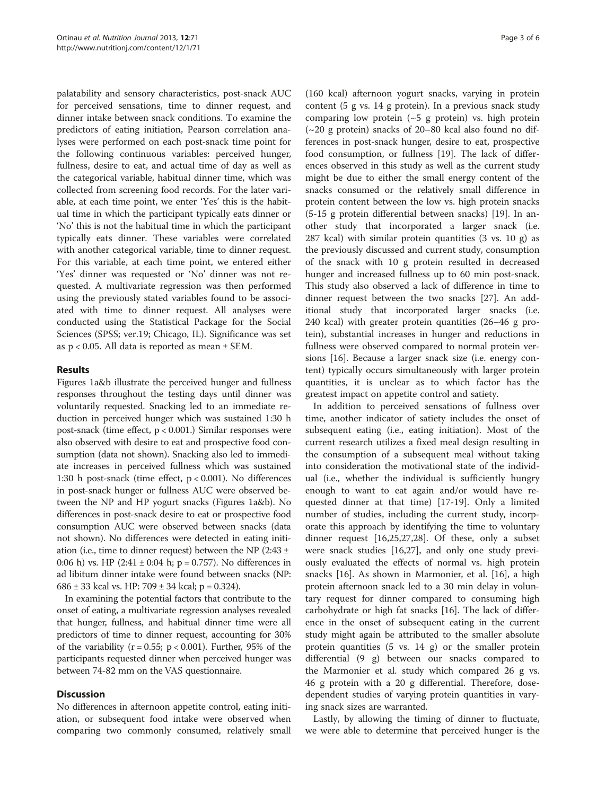palatability and sensory characteristics, post-snack AUC for perceived sensations, time to dinner request, and dinner intake between snack conditions. To examine the predictors of eating initiation, Pearson correlation analyses were performed on each post-snack time point for the following continuous variables: perceived hunger, fullness, desire to eat, and actual time of day as well as the categorical variable, habitual dinner time, which was collected from screening food records. For the later variable, at each time point, we enter 'Yes' this is the habitual time in which the participant typically eats dinner or 'No' this is not the habitual time in which the participant typically eats dinner. These variables were correlated with another categorical variable, time to dinner request. For this variable, at each time point, we entered either 'Yes' dinner was requested or 'No' dinner was not requested. A multivariate regression was then performed using the previously stated variables found to be associated with time to dinner request. All analyses were conducted using the Statistical Package for the Social Sciences (SPSS; ver.19; Chicago, IL). Significance was set as  $p < 0.05$ . All data is reported as mean  $\pm$  SEM.

#### Results

Figures [1](#page-3-0)a&b illustrate the perceived hunger and fullness responses throughout the testing days until dinner was voluntarily requested. Snacking led to an immediate reduction in perceived hunger which was sustained 1:30 h post-snack (time effect, p < 0.001.) Similar responses were also observed with desire to eat and prospective food consumption (data not shown). Snacking also led to immediate increases in perceived fullness which was sustained 1:30 h post-snack (time effect, p < 0.001). No differences in post-snack hunger or fullness AUC were observed between the NP and HP yogurt snacks (Figures [1a](#page-3-0)&b). No differences in post-snack desire to eat or prospective food consumption AUC were observed between snacks (data not shown). No differences were detected in eating initiation (i.e., time to dinner request) between the NP (2:43 ± 0:06 h) vs. HP  $(2:41 \pm 0:04 \text{ h}; \text{p} = 0.757)$ . No differences in ad libitum dinner intake were found between snacks (NP: 686  $\pm$  33 kcal vs. HP: 709  $\pm$  34 kcal; p = 0.324).

In examining the potential factors that contribute to the onset of eating, a multivariate regression analyses revealed that hunger, fullness, and habitual dinner time were all predictors of time to dinner request, accounting for 30% of the variability ( $r = 0.55$ ;  $p < 0.001$ ). Further, 95% of the participants requested dinner when perceived hunger was between 74-82 mm on the VAS questionnaire.

# **Discussion**

No differences in afternoon appetite control, eating initiation, or subsequent food intake were observed when comparing two commonly consumed, relatively small

(160 kcal) afternoon yogurt snacks, varying in protein content (5 g vs. 14 g protein). In a previous snack study comparing low protein  $({\sim}5$  g protein) vs. high protein (~20 g protein) snacks of 20–80 kcal also found no differences in post-snack hunger, desire to eat, prospective food consumption, or fullness [[19\]](#page-4-0). The lack of differences observed in this study as well as the current study might be due to either the small energy content of the snacks consumed or the relatively small difference in protein content between the low vs. high protein snacks (5-15 g protein differential between snacks) [[19\]](#page-4-0). In another study that incorporated a larger snack (i.e. 287 kcal) with similar protein quantities (3 vs. 10 g) as the previously discussed and current study, consumption of the snack with 10 g protein resulted in decreased hunger and increased fullness up to 60 min post-snack. This study also observed a lack of difference in time to dinner request between the two snacks [[27\]](#page-5-0). An additional study that incorporated larger snacks (i.e. 240 kcal) with greater protein quantities (26–46 g protein), substantial increases in hunger and reductions in fullness were observed compared to normal protein versions [[16](#page-4-0)]. Because a larger snack size (i.e. energy content) typically occurs simultaneously with larger protein quantities, it is unclear as to which factor has the greatest impact on appetite control and satiety.

In addition to perceived sensations of fullness over time, another indicator of satiety includes the onset of subsequent eating (i.e., eating initiation). Most of the current research utilizes a fixed meal design resulting in the consumption of a subsequent meal without taking into consideration the motivational state of the individual (i.e., whether the individual is sufficiently hungry enough to want to eat again and/or would have requested dinner at that time) [[17-19\]](#page-4-0). Only a limited number of studies, including the current study, incorporate this approach by identifying the time to voluntary dinner request [\[16](#page-4-0)[,25,27,28](#page-5-0)]. Of these, only a subset were snack studies [\[16](#page-4-0)[,27](#page-5-0)], and only one study previously evaluated the effects of normal vs. high protein snacks [[16](#page-4-0)]. As shown in Marmonier, et al. [[16](#page-4-0)], a high protein afternoon snack led to a 30 min delay in voluntary request for dinner compared to consuming high carbohydrate or high fat snacks [\[16](#page-4-0)]. The lack of difference in the onset of subsequent eating in the current study might again be attributed to the smaller absolute protein quantities (5 vs. 14 g) or the smaller protein differential (9 g) between our snacks compared to the Marmonier et al. study which compared 26 g vs. 46 g protein with a 20 g differential. Therefore, dosedependent studies of varying protein quantities in varying snack sizes are warranted.

Lastly, by allowing the timing of dinner to fluctuate, we were able to determine that perceived hunger is the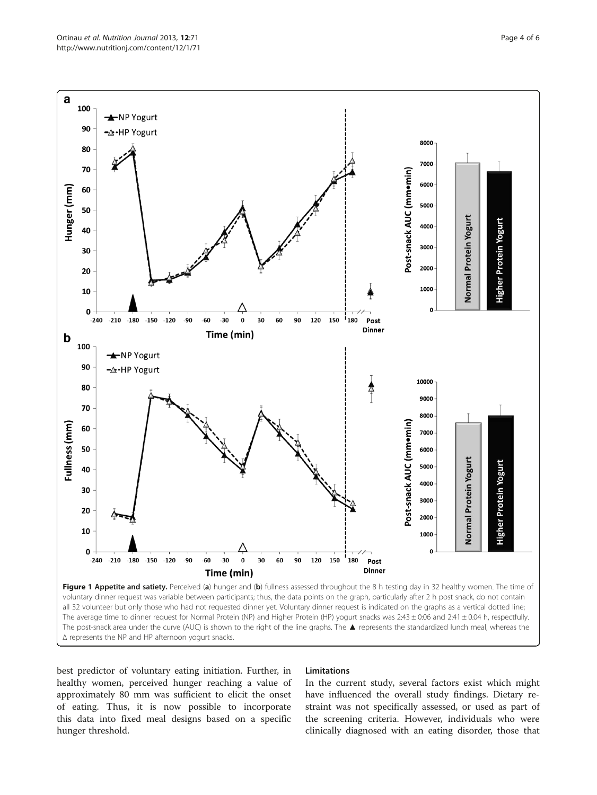<span id="page-3-0"></span>

Δ represents the NP and HP afternoon yogurt snacks.

best predictor of voluntary eating initiation. Further, in healthy women, perceived hunger reaching a value of approximately 80 mm was sufficient to elicit the onset of eating. Thus, it is now possible to incorporate this data into fixed meal designs based on a specific hunger threshold.

#### Limitations

In the current study, several factors exist which might have influenced the overall study findings. Dietary restraint was not specifically assessed, or used as part of the screening criteria. However, individuals who were clinically diagnosed with an eating disorder, those that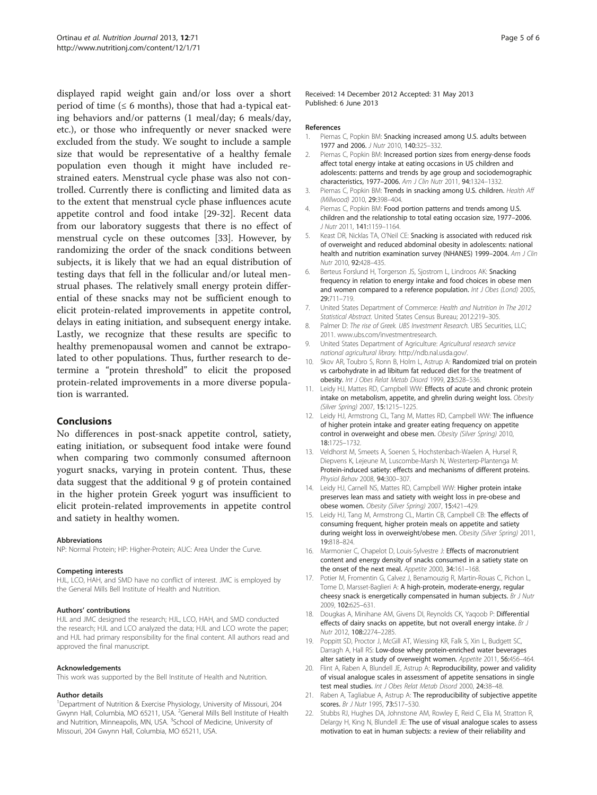<span id="page-4-0"></span>displayed rapid weight gain and/or loss over a short period of time ( $\leq 6$  months), those that had a-typical eating behaviors and/or patterns (1 meal/day; 6 meals/day, etc.), or those who infrequently or never snacked were excluded from the study. We sought to include a sample size that would be representative of a healthy female population even though it might have included restrained eaters. Menstrual cycle phase was also not controlled. Currently there is conflicting and limited data as to the extent that menstrual cycle phase influences acute appetite control and food intake [\[29](#page-5-0)-[32\]](#page-5-0). Recent data from our laboratory suggests that there is no effect of menstrual cycle on these outcomes [[33](#page-5-0)]. However, by randomizing the order of the snack conditions between subjects, it is likely that we had an equal distribution of testing days that fell in the follicular and/or luteal menstrual phases. The relatively small energy protein differential of these snacks may not be sufficient enough to elicit protein-related improvements in appetite control, delays in eating initiation, and subsequent energy intake. Lastly, we recognize that these results are specific to healthy premenopausal women and cannot be extrapolated to other populations. Thus, further research to determine a "protein threshold" to elicit the proposed protein-related improvements in a more diverse population is warranted.

#### Conclusions

No differences in post-snack appetite control, satiety, eating initiation, or subsequent food intake were found when comparing two commonly consumed afternoon yogurt snacks, varying in protein content. Thus, these data suggest that the additional 9 g of protein contained in the higher protein Greek yogurt was insufficient to elicit protein-related improvements in appetite control and satiety in healthy women.

#### Abbreviations

NP: Normal Protein; HP: Higher-Protein; AUC: Area Under the Curve.

#### Competing interests

HJL, LCO, HAH, and SMD have no conflict of interest. JMC is employed by the General Mills Bell Institute of Health and Nutrition.

#### Authors' contributions

HJL and JMC designed the research; HJL, LCO, HAH, and SMD conducted the research; HJL and LCO analyzed the data; HJL and LCO wrote the paper; and HJL had primary responsibility for the final content. All authors read and approved the final manuscript.

#### Acknowledgements

This work was supported by the Bell Institute of Health and Nutrition.

#### Author details

<sup>1</sup>Department of Nutrition & Exercise Physiology, University of Missouri, 204 Gwynn Hall, Columbia, MO 65211, USA. <sup>2</sup>General Mills Bell Institute of Health and Nutrition, Minneapolis, MN, USA. <sup>3</sup>School of Medicine, University of Missouri, 204 Gwynn Hall, Columbia, MO 65211, USA.

Received: 14 December 2012 Accepted: 31 May 2013 Published: 6 June 2013

#### References

- 1. Piernas C, Popkin BM: Snacking increased among U.S. adults between 1977 and 2006. J Nutr 2010, 140:325-332.
- 2. Piernas C, Popkin BM: Increased portion sizes from energy-dense foods affect total energy intake at eating occasions in US children and adolescents: patterns and trends by age group and sociodemographic characteristics, 1977–2006. Am J Clin Nutr 2011, 94:1324–1332.
- 3. Piernas C, Popkin BM: Trends in snacking among U.S. children. Health Aff (Millwood) 2010, 29:398–404.
- 4. Piernas C, Popkin BM: Food portion patterns and trends among U.S. children and the relationship to total eating occasion size, 1977–2006. J Nutr 2011, 141:1159–1164.
- 5. Keast DR, Nicklas TA, O'Neil CE: Snacking is associated with reduced risk of overweight and reduced abdominal obesity in adolescents: national health and nutrition examination survey (NHANES) 1999-2004. Am J Clin Nutr 2010, 92:428–435.
- 6. Berteus Forslund H, Torgerson JS, Sjostrom L, Lindroos AK: Snacking frequency in relation to energy intake and food choices in obese men and women compared to a reference population. Int J Obes (Lond) 2005, 29:711–719.
- 7. United States Department of Commerce: Health and Nutrition In The 2012 Statistical Abstract. United States Census Bureau; 2012:219–305.
- 8. Palmer D: The rise of Greek. UBS Investment Research. UBS Securities, LLC; 2011. [www.ubs.com/investmentresearch](http://www.ubs.com/investmentresearch).
- 9. United States Department of Agriculture: Agricultural research service national agricultural library. [http://ndb.nal.usda.gov/.](http://ndb.nal.usda.gov/)
- 10. Skov AR, Toubro S, Ronn B, Holm L, Astrup A: Randomized trial on protein vs carbohydrate in ad libitum fat reduced diet for the treatment of obesity. Int J Obes Relat Metab Disord 1999, 23:528–536.
- 11. Leidy HJ, Mattes RD, Campbell WW: Effects of acute and chronic protein intake on metabolism, appetite, and ghrelin during weight loss. Obesity (Silver Spring) 2007, 15:1215–1225.
- 12. Leidy HJ, Armstrong CL, Tang M, Mattes RD, Campbell WW: The influence of higher protein intake and greater eating frequency on appetite control in overweight and obese men. Obesity (Silver Spring) 2010, 18:1725–1732.
- 13. Veldhorst M, Smeets A, Soenen S, Hochstenbach-Waelen A, Hursel R, Diepvens K, Lejeune M, Luscombe-Marsh N, Westerterp-Plantenga M: Protein-induced satiety: effects and mechanisms of different proteins. Physiol Behav 2008, 94:300–307.
- 14. Leidy HJ, Carnell NS, Mattes RD, Campbell WW: Higher protein intake preserves lean mass and satiety with weight loss in pre-obese and obese women. Obesity (Silver Spring) 2007, 15:421–429.
- 15. Leidy HJ, Tang M, Armstrong CL, Martin CB, Campbell CB: The effects of consuming frequent, higher protein meals on appetite and satiety during weight loss in overweight/obese men. Obesity (Silver Spring) 2011, 19:818–824.
- 16. Marmonier C, Chapelot D, Louis-Sylvestre J: Effects of macronutrient content and energy density of snacks consumed in a satiety state on the onset of the next meal. Appetite 2000, 34:161-168.
- 17. Potier M, Fromentin G, Calvez J, Benamouzig R, Martin-Rouas C, Pichon L, Tome D, Marsset-Baglieri A: A high-protein, moderate-energy, regular cheesy snack is energetically compensated in human subjects. Br J Nutr 2009, 102:625–631.
- 18. Dougkas A, Minihane AM, Givens DI, Reynolds CK, Yaqoob P: Differential effects of dairy snacks on appetite, but not overall energy intake. Br J Nutr 2012, 108:2274–2285.
- 19. Poppitt SD, Proctor J, McGill AT, Wiessing KR, Falk S, Xin L, Budgett SC, Darragh A, Hall RS: Low-dose whey protein-enriched water beverages alter satiety in a study of overweight women. Appetite 2011, 56:456–464.
- 20. Flint A, Raben A, Blundell JE, Astrup A: Reproducibility, power and validity of visual analogue scales in assessment of appetite sensations in single test meal studies. Int J Obes Relat Metab Disord 2000, 24:38-48.
- 21. Raben A, Tagliabue A, Astrup A: The reproducibility of subjective appetite scores. Br J Nutr 1995, 73:517–530.
- 22. Stubbs RJ, Hughes DA, Johnstone AM, Rowley E, Reid C, Elia M, Stratton R, Delargy H, King N, Blundell JE: The use of visual analogue scales to assess motivation to eat in human subjects: a review of their reliability and